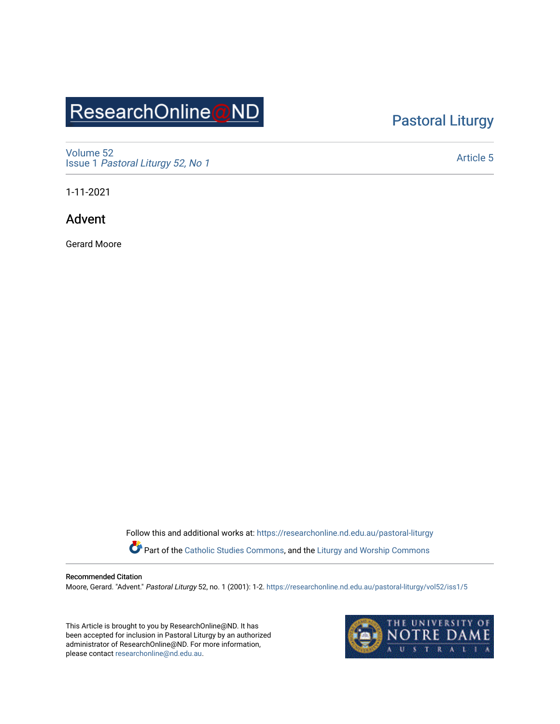# ResearchOnline@ND

## [Pastoral Liturgy](https://researchonline.nd.edu.au/pastoral-liturgy)

[Volume 52](https://researchonline.nd.edu.au/pastoral-liturgy/vol52) Issue 1 [Pastoral Liturgy 52, No 1](https://researchonline.nd.edu.au/pastoral-liturgy/vol52/iss1)

[Article 5](https://researchonline.nd.edu.au/pastoral-liturgy/vol52/iss1/5) 

1-11-2021

Advent

Gerard Moore

Follow this and additional works at: [https://researchonline.nd.edu.au/pastoral-liturgy](https://researchonline.nd.edu.au/pastoral-liturgy?utm_source=researchonline.nd.edu.au%2Fpastoral-liturgy%2Fvol52%2Fiss1%2F5&utm_medium=PDF&utm_campaign=PDFCoverPages)

Part of the [Catholic Studies Commons,](http://network.bepress.com/hgg/discipline/1294?utm_source=researchonline.nd.edu.au%2Fpastoral-liturgy%2Fvol52%2Fiss1%2F5&utm_medium=PDF&utm_campaign=PDFCoverPages) and the [Liturgy and Worship Commons](http://network.bepress.com/hgg/discipline/1188?utm_source=researchonline.nd.edu.au%2Fpastoral-liturgy%2Fvol52%2Fiss1%2F5&utm_medium=PDF&utm_campaign=PDFCoverPages) 

#### Recommended Citation

Moore, Gerard. "Advent." Pastoral Liturgy 52, no. 1 (2001): 1-2. [https://researchonline.nd.edu.au/pastoral-liturgy/vol52/iss1/5](https://researchonline.nd.edu.au/pastoral-liturgy/vol52/iss1/5?utm_source=researchonline.nd.edu.au%2Fpastoral-liturgy%2Fvol52%2Fiss1%2F5&utm_medium=PDF&utm_campaign=PDFCoverPages) 

This Article is brought to you by ResearchOnline@ND. It has been accepted for inclusion in Pastoral Liturgy by an authorized administrator of ResearchOnline@ND. For more information, please contact [researchonline@nd.edu.au.](mailto:researchonline@nd.edu.au)

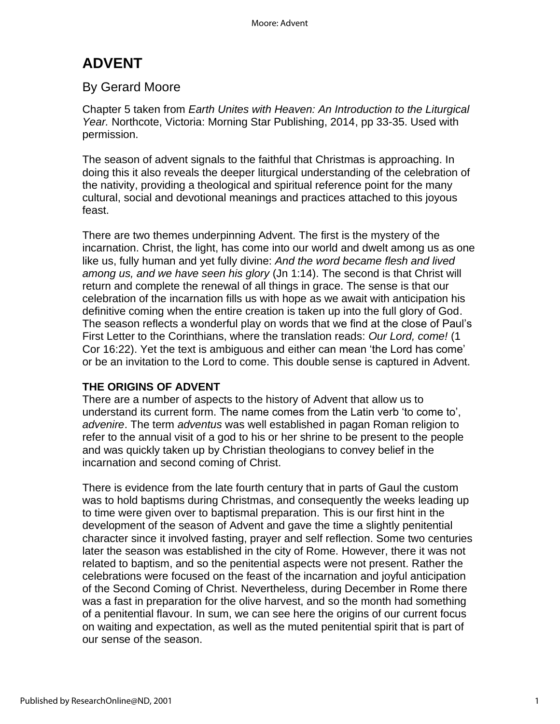## **ADVENT**

### By Gerard Moore

Chapter 5 taken from *Earth Unites with Heaven: An Introduction to the Liturgical Year.* Northcote, Victoria: Morning Star Publishing, 2014, pp 33-35. Used with permission.

The season of advent signals to the faithful that Christmas is approaching. In doing this it also reveals the deeper liturgical understanding of the celebration of the nativity, providing a theological and spiritual reference point for the many cultural, social and devotional meanings and practices attached to this joyous feast.

There are two themes underpinning Advent. The first is the mystery of the incarnation. Christ, the light, has come into our world and dwelt among us as one like us, fully human and yet fully divine: *And the word became flesh and lived among us, and we have seen his glory* (Jn 1:14). The second is that Christ will return and complete the renewal of all things in grace. The sense is that our celebration of the incarnation fills us with hope as we await with anticipation his definitive coming when the entire creation is taken up into the full glory of God. The season reflects a wonderful play on words that we find at the close of Paul's First Letter to the Corinthians, where the translation reads: *Our Lord, come!* (1 Cor 16:22). Yet the text is ambiguous and either can mean 'the Lord has come' or be an invitation to the Lord to come. This double sense is captured in Advent.

#### **THE ORIGINS OF ADVENT**

There are a number of aspects to the history of Advent that allow us to understand its current form. The name comes from the Latin verb 'to come to', *advenire*. The term *adventus* was well established in pagan Roman religion to refer to the annual visit of a god to his or her shrine to be present to the people and was quickly taken up by Christian theologians to convey belief in the incarnation and second coming of Christ.

There is evidence from the late fourth century that in parts of Gaul the custom was to hold baptisms during Christmas, and consequently the weeks leading up to time were given over to baptismal preparation. This is our first hint in the development of the season of Advent and gave the time a slightly penitential character since it involved fasting, prayer and self reflection. Some two centuries later the season was established in the city of Rome. However, there it was not related to baptism, and so the penitential aspects were not present. Rather the celebrations were focused on the feast of the incarnation and joyful anticipation of the Second Coming of Christ. Nevertheless, during December in Rome there was a fast in preparation for the olive harvest, and so the month had something of a penitential flavour. In sum, we can see here the origins of our current focus on waiting and expectation, as well as the muted penitential spirit that is part of our sense of the season.